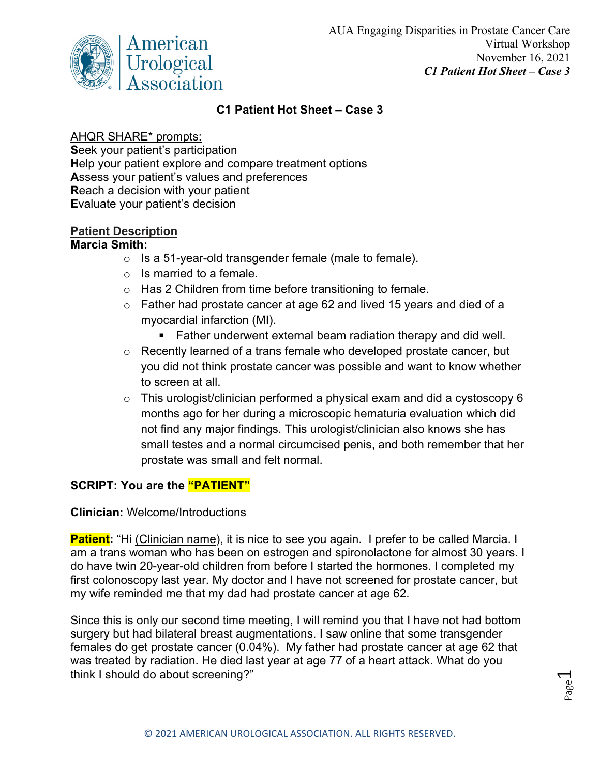

## **C1 Patient Hot Sheet – Case 3**

### AHQR SHARE\* prompts:

**S**eek your patient's participation **H**elp your patient explore and compare treatment options **A**ssess your patient's values and preferences **R**each a decision with your patient **E**valuate your patient's decision

### **Patient Description**

#### **Marcia Smith:**

- o Is a 51-year-old transgender female (male to female).
- $\circ$  Is married to a female.
- o Has 2 Children from time before transitioning to female.
- o Father had prostate cancer at age 62 and lived 15 years and died of a myocardial infarction (MI).
	- Father underwent external beam radiation therapy and did well.
- o Recently learned of a trans female who developed prostate cancer, but you did not think prostate cancer was possible and want to know whether to screen at all.
- $\circ$  This urologist/clinician performed a physical exam and did a cystoscopy 6 months ago for her during a microscopic hematuria evaluation which did not find any major findings. This urologist/clinician also knows she has small testes and a normal circumcised penis, and both remember that her prostate was small and felt normal.

# **SCRIPT: You are the "PATIENT"**

#### **Clinician:** Welcome/Introductions

**Patient:** "Hi (Clinician name), it is nice to see you again. I prefer to be called Marcia. I am a trans woman who has been on estrogen and spironolactone for almost 30 years. I do have twin 20-year-old children from before I started the hormones. I completed my first colonoscopy last year. My doctor and I have not screened for prostate cancer, but my wife reminded me that my dad had prostate cancer at age 62.

Since this is only our second time meeting, I will remind you that I have not had bottom surgery but had bilateral breast augmentations. I saw online that some transgender females do get prostate cancer (0.04%). My father had prostate cancer at age 62 that was treated by radiation. He died last year at age 77 of a heart attack. What do you think I should do about screening?"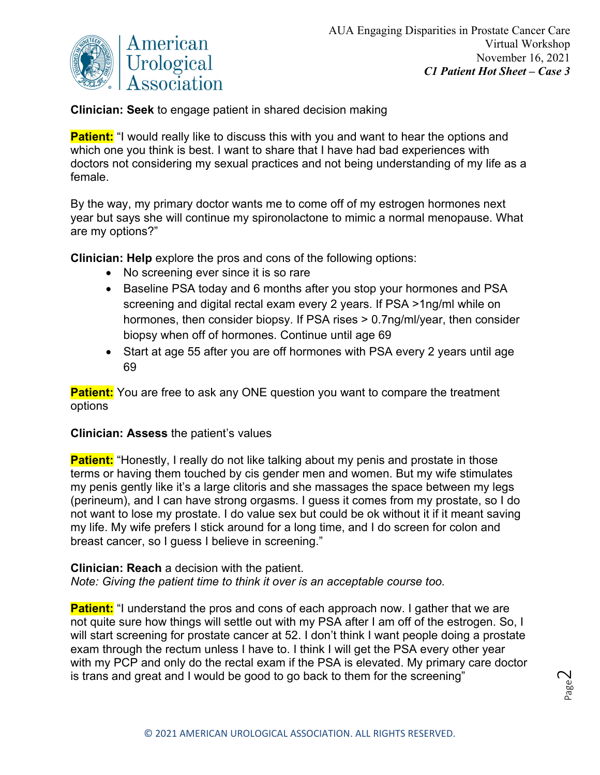

**Clinician: Seek** to engage patient in shared decision making

**Patient:** "I would really like to discuss this with you and want to hear the options and which one you think is best. I want to share that I have had bad experiences with doctors not considering my sexual practices and not being understanding of my life as a female.

By the way, my primary doctor wants me to come off of my estrogen hormones next year but says she will continue my spironolactone to mimic a normal menopause. What are my options?"

**Clinician: Help** explore the pros and cons of the following options:

- No screening ever since it is so rare
- Baseline PSA today and 6 months after you stop your hormones and PSA screening and digital rectal exam every 2 years. If PSA >1ng/ml while on hormones, then consider biopsy. If PSA rises > 0.7ng/ml/year, then consider biopsy when off of hormones. Continue until age 69
- Start at age 55 after you are off hormones with PSA every 2 years until age 69

**Patient:** You are free to ask any ONE question you want to compare the treatment options

#### **Clinician: Assess** the patient's values

**Patient:** "Honestly, I really do not like talking about my penis and prostate in those terms or having them touched by cis gender men and women. But my wife stimulates my penis gently like it's a large clitoris and she massages the space between my legs (perineum), and I can have strong orgasms. I guess it comes from my prostate, so I do not want to lose my prostate. I do value sex but could be ok without it if it meant saving my life. My wife prefers I stick around for a long time, and I do screen for colon and breast cancer, so I guess I believe in screening."

**Clinician: Reach** a decision with the patient. *Note: Giving the patient time to think it over is an acceptable course too.* 

**Patient:** "I understand the pros and cons of each approach now. I gather that we are not quite sure how things will settle out with my PSA after I am off of the estrogen. So, I will start screening for prostate cancer at 52. I don't think I want people doing a prostate exam through the rectum unless I have to. I think I will get the PSA every other year with my PCP and only do the rectal exam if the PSA is elevated. My primary care doctor is trans and great and I would be good to go back to them for the screening"